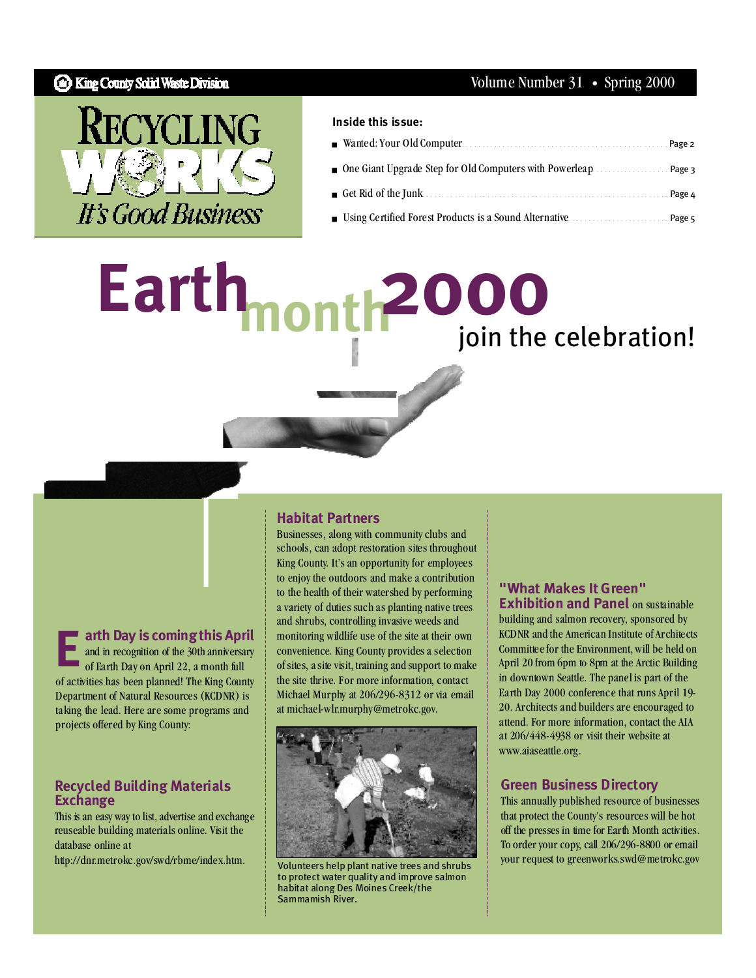## **B** King County Solid Waste Division



#### **Inside this issue:**

| ■ Wanted: Your Old Computer 2008 2009 Name 2 2                                               |  |
|----------------------------------------------------------------------------------------------|--|
| • One Giant Upgrade Step for Old Computers with Powerleap $\ldots$ . $\ldots$ Page 3         |  |
| Get Rid of the Junk $\ldots$ . $\ldots$ . $\ldots$ . $\ldots$ . $\ldots$ . $\ldots$ . Page 4 |  |
| Using Certified Forest Products is a Sound Alternative <b>Example 2</b> Page 5               |  |

# **2000**<br>join the celebration! Earth<sub>mont</sub>

**arth Day is comingthis April** and in recognition of the 30th anniversary of Earth Day on April 22, a month full of activities has been planned! The King County Department of Natural Resources (KCDNR) is taking the lead. Here are some programs and projects offered by King County: **E**

#### **Recycled Building Materials Exchange**

This is an easy way to list, advertise and exchange reuseable building materials online. Visit the database online at

http://dnr.metrokc.gov/swd/rbme/index.htm.

#### **Habitat Partners**

Businesses, along with community clubs and schools, can adopt restoration sites throughout King County. It's an opportunity for employees to enjoy the outdoors and make a contribution to the health of their watershed by performing a variety of duties such as planting native trees and shrubs, controlling invasive weeds and monitoring wildlife use of the site at their own convenience. King County provides a selection ofsites, asite visit, training and support to make the site thrive. For more information, contact Michael Murphy at 206/296-8312 or via email at michael-wlr.murphy@metrokc.gov.



Volunteers help plant native trees and shrubs to protect water quality and improve salmon habitat along Des Moines Creek/the Sammamish River.

#### **"What Makes It Green" Exhibition and Panel** on sustainable

building and salmon recovery, sponsored by KCDNR and the American Institute of Architects Committeefor the Environment,will be held on April 20 from 6pm to 8pm at the Arctic Building in downtown Seattle. The panel is part of the Earth Day 2000 conference that runs April 19- 20. Architects and builders are encouraged to attend. For more information, contact the AIA at 206/448-4938 or visit their website at www.aiaseattle.org.

#### **Green Business Directory**

This annually published resource of businesses that protect the County's resourceswill be hot off the presses in time for Earth Month activities. To order your copy, call 206/296-8800 or email your request to greenworks.swd@metrokc.gov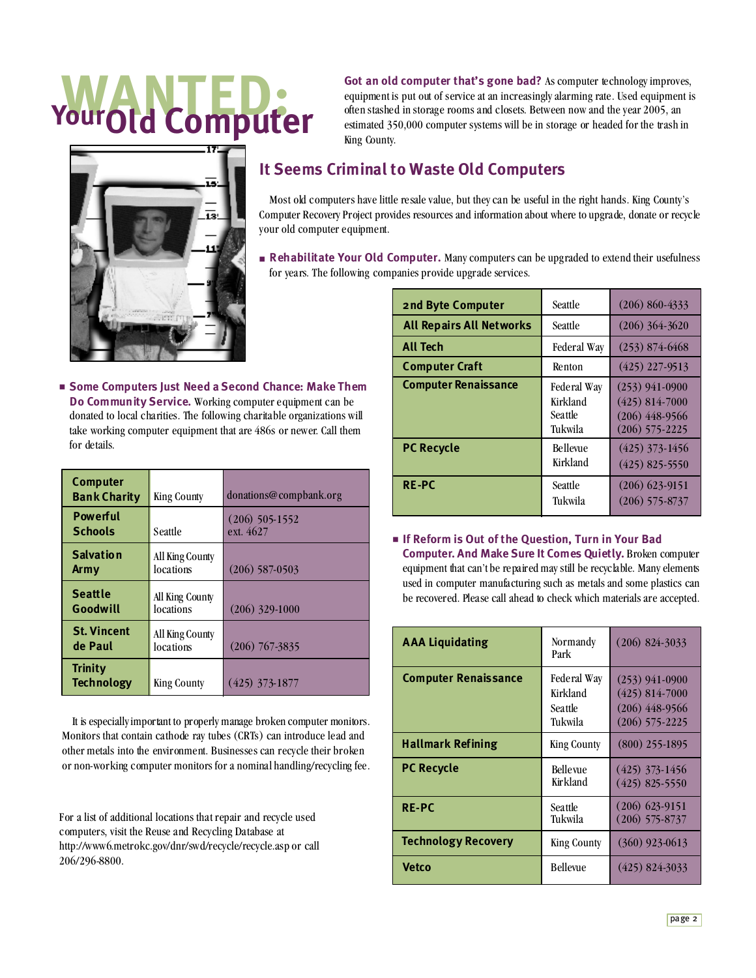# **WANTED: YourOld Computer**

ᅲ

**Got an old computer that's gone bad?** As computer technology improves, equipment is put out of service at an increasingly alarming rate. Used equipment is often stashed in storage rooms and closets. Between now and the year 2005, an estimated 350,000 computer systemswill be in storage or headed for the trash in King County.

# **It Seems Criminal to Waste Old Computers**

Most old computers have little resale value, but they can be useful in the right hands. King County's Computer Recovery Project provides resources and information about where to upgrade, donate or recycle your old computer equipment.

■ **Rehabilitate Your Old Computer.** Many computers can be upgraded to extend their usefulness for years. The following companies provide upgrade services.

| 2nd Byte Computer               | <b>Seattle</b>                                | $(206) 860 - 4333$                                                           |
|---------------------------------|-----------------------------------------------|------------------------------------------------------------------------------|
| <b>All Repairs All Networks</b> | Seattle                                       | $(206)$ 364-3620                                                             |
| <b>All Tech</b>                 | Federal Way                                   | $(253)$ 874-6468                                                             |
| <b>Computer Craft</b>           | Renton                                        | $(425)$ 227-9513                                                             |
| <b>Computer Renaissance</b>     | Federal Way<br>Kirkland<br>Seattle<br>Tukwila | $(253)$ 941-0900<br>$(425)$ 814-7000<br>$(206)$ 448-9566<br>$(206)$ 575-2225 |
| <b>PC Recycle</b>               | Bellevue<br>Kirkland                          | $(425)$ 373-1456<br>$(425)$ 825-5550                                         |
| <b>RE-PC</b>                    | Seattle<br>Tukwila                            | $(206)$ 623-9151<br>$(206)$ 575-8737                                         |

■ **If Reform is Out of the Question, Turn in Your Bad Computer. And Make Sure It Comes Quietly.** Broken computer equipment that can't be repaired may still be recyclable. Many elements used in computer manufacturing such as metals and some plastics can be recovered. Please call ahead to check which materials are accepted.

| <b>AAA Liquidating</b>      | Normandy<br>Park                              | $(206)$ 824-3033                                                               |
|-----------------------------|-----------------------------------------------|--------------------------------------------------------------------------------|
| <b>Computer Renaissance</b> | Federal Way<br>Kirkland<br>Seattle<br>Tukwila | $(253)$ 941-0900<br>$(425) 814 - 7000$<br>$(206)$ 448-9566<br>$(206)$ 575-2225 |
| <b>Hallmark Refining</b>    | <b>King County</b>                            | $(800)$ 255-1895                                                               |
| <b>PC Recycle</b>           | <b>Bellevue</b><br>Kirkland                   | $(425)$ 373-1456<br>$(425)$ 825-5550                                           |
| <b>RE-PC</b>                | Seattle<br>Tukwila                            | $(206)$ 623-9151<br>$(206)$ 575-8737                                           |
| <b>Technology Recovery</b>  | <b>King County</b>                            | $(360)$ 923-0613                                                               |
| <b>Vetco</b>                | <b>Bellevue</b>                               | $(425)$ 824-3033                                                               |

■ **Some Computers Just Need a Second Chance: Make Them Do Community Service.** Working computer equipment can be donated to local charities. The following charitable organizations will take working computer equipment that are 486s or newer. Call them for details.

| Computer<br><b>Bank Charity</b>     | <b>King County</b>           | donations@compbank.org        |
|-------------------------------------|------------------------------|-------------------------------|
| Powerful<br><b>Schools</b>          | Seattle                      | $(206)$ 505-1552<br>ext. 4627 |
| <b>Salvation</b><br><b>Army</b>     | All King County<br>locations | $(206)$ 587-0503              |
| <b>Seattle</b><br>Goodwill          | All King County<br>locations | $(206)$ 329-1000              |
| <b>St. Vincent</b><br>de Paul       | All King County<br>locations | $(206)$ 767-3835              |
| <b>Trinity</b><br><b>Technology</b> | <b>King County</b>           | $(425)$ 373-1877              |

It is especiallyimportant to properly manage broken computer monitors. Monitors that contain cathode ray tubes (CRTs) can introduce lead and other metals into the environment. Businesses can recycle their broken or non-working computer monitors for a nominal handling/recycling fee.

For a list of additional locations thatrepair and recycle used computers, visit the Reuse and Recycling Database at http://www6.metrokc.gov/dnr/swd/recycle/recycle.asp or call 206/296-8800.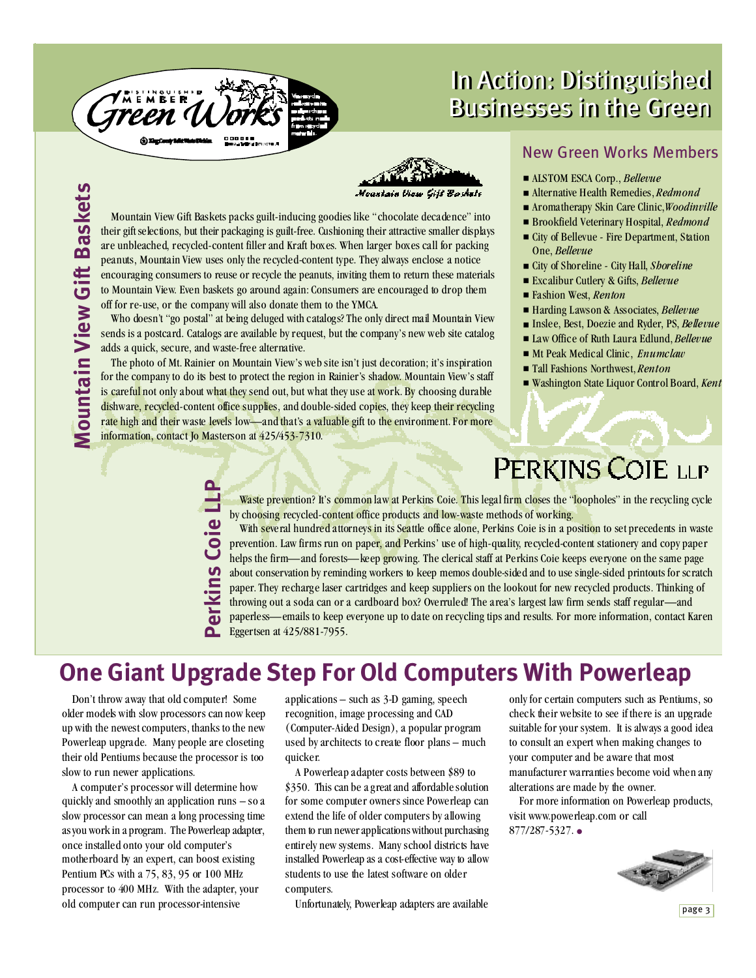

**LLP**

# In Action: Distinguished In Action: Distinguished Businesses in the Green Businesses in the Green

**Σ ountain Vie wGift** <u>മ</u> **a**<u>ហ</u> **ke ts**

Moantain View

 peanuts, Mountain View uses only the recycled-content type. They always enclose a notice are unbleached, recycled-content filler and Kraft boxes. When larger boxes call for packing their gift selections, but their packaging is guilt-free. Cushioning their attractive smaller displays Mountain View Gift Baskets packs guilt-inducing goodies like "chocolate decadence" into encouraging consumers to reuse or recycle the peanuts, inviting them to return these materials to Mountain View. Even baskets go around again: Consumers are encouraged to drop them off for re-use, or the companywill also donate them to the YMCA.

Who doesn't "go postal" at being deluged with catalogs? The only direct mail Mountain View sends is a postcard. Catalogs are available by request, but the company's new web site catalog adds a quick, secure, and waste-free alternative.

 information, contact Jo Masterson at 425/453-7310. rate high and their waste levels low—and that's a valuable gift to the environment. For more dishware, recycled-content office supplies, and double-sided copies, they keep their recycling The photo of Mt. Rainier on Mountain View'sweb site isn't just decoration; it's inspiration for the company to do its best to protect the region in Rainier's shadow. Mountain View's staff is careful not only about what they send out, but what they use at work. By choosing durable

## New Green Works Members

- ALSTOM ESCA Corp., *Bellevue*
- Alternative Health Remedies, *Redmond*
- Aromatherapy Skin Care Clinic, *Woodinville*
- Brookfield Veterinary Hospital, *Redmond*
- City of Bellevue Fire Department, Station One, *Bellevue*
- City of Shoreline City Hall, *Shoreline*
- Excalibur Cutlery & Gifts, *Bellevue*
- Fashion West, *Renton*
- Harding Lawson& Associates, *Bellevue*
- Inslee, Best, Doezie and Ryder, PS, *Bellevue*
- Law Office of Ruth Laura Edlund, *Bellevue*
- Mt Peak Medical Clinic, *Enumclaw*
- Tall Fashions Northwest, *Renton*
- Washington State Liquor Control Board, *Kent*

# PERKINS COIE LLP

Waste prevention? It's common law at Perkins Coie. This legal firm closes the "loopholes" in the recycling cycle by choosing recycled-content office products and low-waste methods of working. With several hundred attorneys in its Seattle office alone, Perkins Coie is in a position to set precedents in waste

prevention. Law firms run on paper, and Perkins' use of high-quality, recycled-content stationery and copy paper helps the firm—and forests—keep <mark>gr</mark>owing. The clerical staff at Perkins Coie keeps everyone on the same page about conservation by reminding workers to keep memos double-sided and to use single-sided printouts for scratch paper. They recharge laser cartridges and keep suppliers on the lookout for new recycled products. Thinking of throwing out a soda can or a cardboard box? Overruled! The area's largest law firm sends staff regular—and paperless—emails to keep everyone up to date on recycling tips and results. For more information, contact Karen Eggertsen at 425/881-7955. **Perkin** <u>ហ</u> **Coie**

# **One Giant Upgrade Step For Old Computers With Powerleap**

Don't throw away that old computer! Some older modelswith slow processors can now keep up with the newest computers, thanks to the new Powerleap upgrade. Many people are closeting their old Pentiums because the processor is too slow to run newer applications.

A computer's processor will determine how quickly and smoothly an application runs – so a slow processor can mean a long processing time asyouwork in a program. The Powerleap adapter, once installed onto your old computer's motherboard by an expert, can boost existing Pentium PCs with a 75, 83, 95 or 100 MHz processor to 400 MHz. With the adapter, your old computer can run processor-intensive

applications – such as 3-D gaming, speech recognition, image processing and CAD (Computer-Aided Design), a popular program used by architects to create floor plans – much quicker.

A Powerleap adapter costs between \$89 to \$350. This can be a great and affordable solution for some computer owners since Powerleap can extend the life of older computers by allowing them to run newer applications without purchasing entirely new systems. Many school districts have installed Powerleap as a cost-effective way to allow students to use the latest software on older computers.

Unfortunately, Powerleap adapters are available

only for certain computers such as Pentiums, so check theirwebsite to see if there is an upgrade suitable for your system. It is always a good idea to consult an expert when making changes to your computer and be aware that most manufacturer warranties become void when any alterations are made by the owner.

For more information on Powerleap products, visit www.powerleap.com or call 877/287-5327. ●

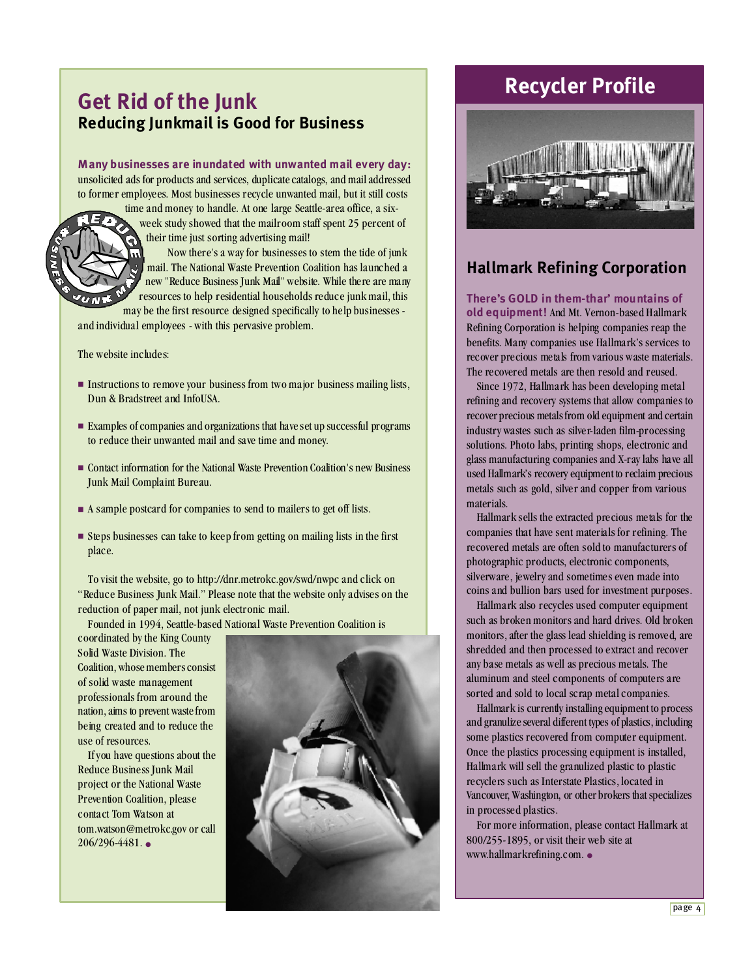# **Get Rid of the Junk Reducing Junkmail is Good for Business**

#### **Many businesses are inundated with unwanted mail every day:**

unsolicited ads for products and services, duplicatecatalogs, and mailaddressed to former employees. Most businesses recycle unwanted mail, but it still costs

time and money to handle. At one large Seattle-area office, a sixweek study showed that the mailroom staff spent 25 percent of their time just sorting advertising mail!

Now there's a way for businesses to stem the tide of junk mail. The National Waste Prevention Coalition has launched a new "Reduce Business Junk Mail"website. While there are many resources to help residential households reduce junk mail, this

may be the first resource designed specifically to help businesses and individual employees - with this pervasive problem.

The website includes:

- Instructions to remove your business from two major business mailing lists, Dun & Bradstreet and InfoUSA.
- Examples of companies and organizations that have set up successful programs to reduce their unwanted mail and save time and money.
- Contact information for the National Waste Prevention Coalition's new Business Junk Mail Complaint Bureau.
- A sample postcard for companies to send to mailers to get off lists.
- Steps businesses can take to keep from getting on mailing lists in the first place.

To visit the website, go to http://dnr.metrokc.gov/swd/nwpc and click on "Reduce Business Junk Mail." Please note that the website only advises on the reduction of paper mail, not junk electronic mail.

Founded in 1994, Seattle-based National Waste Prevention Coalition is

coordinated by the King County Solid Waste Division. The Coalition, whose members consist of solid waste management professionals from around the nation, aims to prevent wastefrom being created and to reduce the use of resources.

Ifyou have questions about the Reduce Business Junk Mail project or the National Waste Prevention Coalition, please contact Tom Watson at tom.watson@metrokc.gov or call 206/296-4481. ●



# **Recycler Profile**



## **Hallmark Refining Corporation**

**There's GOLD in them-thar' mountains of old equipment!** And Mt. Vernon-based Hallmark Refining Corporation is helping companies reap the benefits. Many companies use Hallmark's services to recover precious metals from various waste materials. The recovered metals are then resold and reused.

Since 1972, Hallmark has been developing metal refining and recovery systems that allow companies to recover precious metalsfrom old equipment and certain industrywastes such as silver-laden film-processing solutions. Photo labs, printing shops, electronic and glass manufacturing companies and X-ray labs have all used Hallmark's recovery equipment to reclaim precious metals such as gold, silver and copper from various materials.

Hallmark sells the extracted precious metals for the companies that have sent materials for refining. The recovered metals are often sold to manufacturers of photographic products, electronic components, silverware, jewelry and sometimes even made into coins and bullion bars used for investment purposes.

Hallmark also recycles used computer equipment such as broken monitors and hard drives. Old broken monitors, after the glass lead shielding is removed, are shredded and then processed to extract and recover any base metals aswell as precious metals. The aluminum and steel components of computers are sorted and sold to local scrap metal companies.

Hallmark is currently installingequipment to process and granulize several different types of plastics, including some plastics recovered from computer equipment. Once the plastics processing equipment is installed, Hallmark will sell the granulized plastic to plastic recyclers such as Interstate Plastics, located in Vancouver, Washington, or other brokers that specializes in processed plastics.

For more information, please contact Hallmark at 800/255-1895, or visit their web site at www.hallmarkrefining.com. ●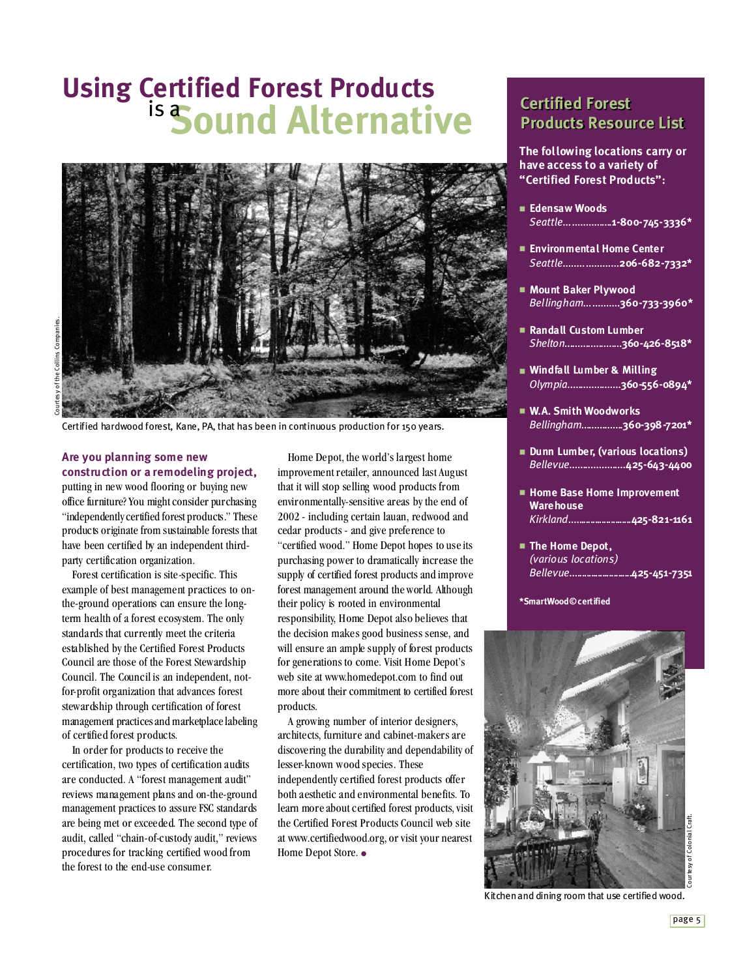# **Using Certified Forest Products** <sup>is</sup> Sound Alternative



Certified hardwood forest, Kane, PA, that has been in continuous production for 150 years.

### **Are you planning some new construction or a remodeling project,**

putting in new wood flooring or buying new office furniture? You might consider purchasing "independently certified forest products." These products originate from sustainable forests that have been certified by an independent thirdparty certification organization.

Forest certification is site-specific. This example of best management practices to onthe-ground operations can ensure the longterm health of a forest ecosystem. The only standards that currently meet the criteria established by the Certified Forest Products Council are those of the Forest Stewardship Council. The Council is an independent, notfor-profit organization that advances forest stewardship through certification of forest management practices and marketplace labeling of certified forest products.

In order for products to receive the certification, two types of certification audits are conducted. A "forest management audit" reviews management plans and on-the-ground management practices to assure FSC standards are being met or exceeded. The second type of audit, called "chain-of-custody audit," reviews procedures for tracking certified wood from the forest to the end-use consumer.

Home Depot, the world's largest home improvementretailer, announced last August that it will stop selling wood products from environmentally-sensitive areas by the end of 2002 - including certain lauan, redwood and cedar products - and give preference to "certified wood." Home Depot hopes to useits purchasing power to dramatically increase the supply of certified forest products and improve forest management around theworld. Although their policy is rooted in environmental responsibility, Home Depot also believes that the decision makes good business sense, and will ensure an ample supply of forest products for generations to come. Visit Home Depot's web site at www.homedepot.com to find out more about their commitment to certified forest products.

A growing number of interior designers, architects, furniture and cabinet-makers are discovering the durability and dependability of lesser-known wood species. These independently certified forest products offer both aesthetic and environmental benefits. To learn more about certified forest products, visit the Certified Forest Products Council web site at www.certifiedwood.org, or visit your nearest Home Depot Store. ●

# **Certified Forest Certified Forest Products Resource List Products Resource List**

**The following locations carry or have access to a variety of "Certified Forest Products":**

- **Edensaw Woods** *Seattle***..................1-800-745-3336\***
- **Environmental Home Center** *Seattle***....................206-682-7332\***
- **Mount Baker Plywood** *Bellingham***.............360-733-3960\***
- **Randall Custom Lumber** *Shelton***......................360-426-8518\***
- **Windfall Lumber & Milling** *Olympia***....................360-556-0894\***
- **W.A. Smith Woodworks** *Bellingham***................360-398-7201\***
- **Dunn Lumber, (various locations)** *Bellevue***.....................425-643-4400**
- **Home Base Home Improvement Warehouse** *Kirkland***...........................425-821-1161**
- **The Home Depot,** *(various locations) Bellevue***...........................425-451-7351**

**\*SmartWood©certified**



Kitchenand dining room that use certified wood.